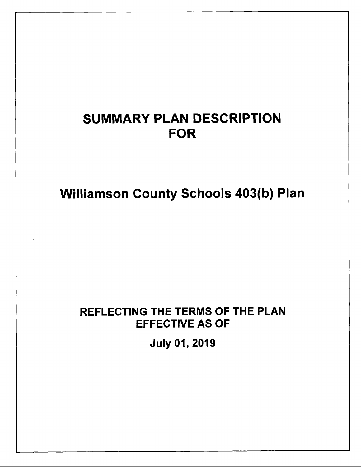# SUMMARY PLAN DESCRIPTION FOR

Williamson County Schools 403(b) Plan

# REFLECTING THE TERMS OF THE PLAN EFFECTIVE AS OF

July 01, 2019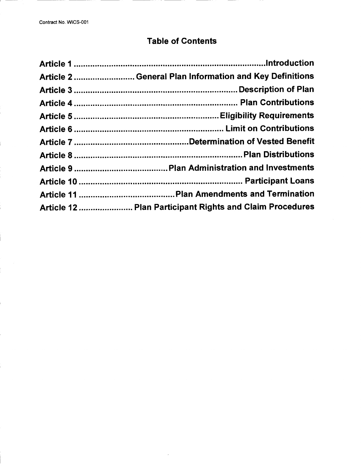# Table of Contents

| Article 2  General Plan Information and Key Definitions  |
|----------------------------------------------------------|
|                                                          |
|                                                          |
|                                                          |
|                                                          |
|                                                          |
|                                                          |
|                                                          |
|                                                          |
|                                                          |
| Article 12  Plan Participant Rights and Claim Procedures |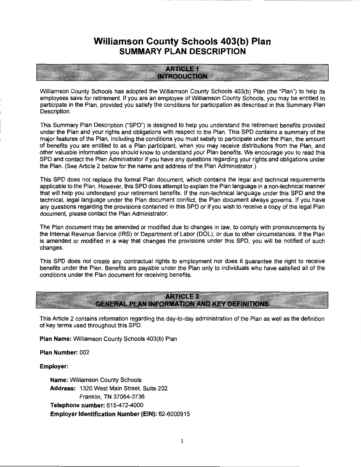# **Williamson County Schools 403(b) Plan SUMMARY PLAN DESCRIPTION**

### **ARTICLE 1 INTRODUCTION**

Williamson County Schools has adopted the Williamson County Schools 403(b) Plan (the "Plan") to help its employees save for retirement. If you are an employee of Williamson County Schools, you may be entitled to participate in the Plan, provided you satisfy the conditions for participation as described in this Summary Plan Description.

This Summary Plan Description ("SPD") is designed to help you understand the retirement benefits provided under the Plan and your rights and obligations with respect to the Plan. This SPD contains a summary of the major features of the Plan, including the conditions you must satisfy to participate under the Plan, the amount of benefits you are entitled to as a Plan participant, when you may receive distributions from the Plan, and other valuable information you should know to understand your Plan benefits. We encourage you to read this SPD and contact the Plan Administrator if you have any questions regarding your rights and obligations under the Plan. (See Article 2 below for the name and address of the Plan Administrator.)

This SPD does not replace the formal Plan document, which contains the legal and technical requirements applicable to the Plan. However, this SPD does attempt to explain the Plan language in a non-technical manner that will help you understand your retirement benefits. If the non-technical language under this SPD and the technical, legal language under the Plan document conflict, the Plan document always governs. If you have any questions regarding the provisions contained in this SPD or if you wish to receive a copy of the legal Plan document, please contact the Plan Administrator.

The Plan document may be amended or modified due to changes in law, to comply with pronouncements by the Internal Revenue Service (IRS) or Department of Labor (DOL), or due to other circumstances. If the Plan is amended or modified in a way that changes the provisions under this SPD, you will be notified of such changes.

This SPD does not create any contractual rights to employment nor does it guarantee the right to receive benefits under the Plan. Benefits are payable under the Plan only to individuals who have satisfied all of the conditions under the Plan document for receiving benefits.

### **ARTICLE 2 GENERAL PLAN INFORMATION AND KEY DEFINITIONS**

This Article 2 contains information regarding the day-to-day administration of the Plan as well as the definition of key terms used throughout this SPD.

**Plan Name:** Williamson County Schools 403(b) Plan

**Plan Number:** 002

**Employer:** 

**Name:** Williamson County Schools **Address:** 1320 West Main Street, Suite 202 Franklin, TN 37064-3736 **Telephone number:** 615-472-4000 **Employer Identification Number (EIN):** 62-6000915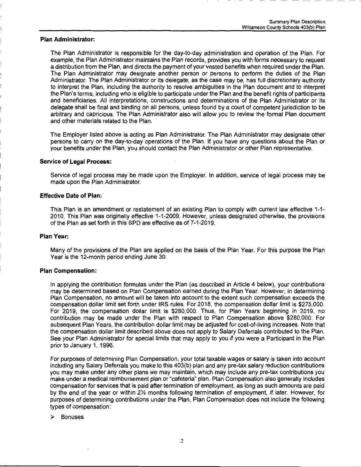#### **Plan Administrator:**

The Plan Administrator is responsible for the day-to-day administration and operation of the Plan. For example, the Plan Administrator maintains the Plan records, provides you with forms necessary to request a distribution from the Plan, and directs the payment of your vested benefits when required under the Plan. The Plan Administrator may designate another person or persons to perform the duties of the Plan Administrator. The Plan Administrator or its delegate, as the case may be, has full discretionary authority to interpret the Plan, including the authority to resolve ambiguities in the Plan document and to interpret the Plan's terms, including who is eligible to participate under the Plan and the benefit rights of participants and beneficiaries. All interpretations, constructions and determinations of the Plan Administrator or its delegate shall be final and binding on all persons, unless found by a court of competent jurisdiction to be arbitrary and capricious. The Plan Administrator also will allow you to review the formal Plan document and other materials related to the Plan.

The Employer listed above is acting as Plan Administrator. The Plan Administrator may designate other persons to carry on the day-to-day operations of the Plan. If you have any questions about the Plan or your benefits under the Plan, you should contact the Plan Administrator or other Plan representative.

#### **Service of Legal Process:**

Service of legal process may be made upon the Employer. In addition, service of legal process may be made upon the Plan Administrator.

#### **Effective Date of Plan:**

This Plan is an amendment or restatement of an existing Plan to comply with current law effective 1-1- 2010. This Plan was originally effective 1-1-2009. However, unless designated otherwise, the provisions of the Plan as set forth in this SPD are effective as of 7-1-2019.

#### **Plan Year:**

Many of the provisions of the Plan are applied on the basis of the Plan Year. For this purpose the Plan Year is the 12-month period ending June 30.

#### **Plan Compensation:**

In applying the contribution formulas under the Plan (as described in Article 4 below), your contributions may be determined based on Plan Compensation earned during the Plan Year. However, in determining Plan Compensation, no amount will be taken into account to the extent such compensation exceeds the compensation dollar limit set forth under IRS rules. For 2018, the compensation dollar limit is \$275,000. For 2019, the compensation dollar limit is \$280,000. Thus, for Plan Years beginning in 2019, no contribution may be made under the Plan with respect to Plan Compensation above \$280,000. For subsequent Plan Years, the contribution dollar limit may be adjusted for cost-of-living increases. Note that the compensation dollar limit described above does not apply to Salary Deferrals contributed to the Plan. See your Plan Administrator for special limits that may apply to you if you were a Participant in the Plan prior to January 1, 1996.

For purposes of determining Plan Compensation, your total taxable wages or salary is taken into account including any Salary Deferrals you make to this 403(b) plan and any pre-tax salary reduction contributions you may make under any other plans we may maintain, which may include any pre-tax contributions you make under a medical reimbursement plan or "cafeteria" plan. Plan Compensation also generally includes compensation for services that is paid after termination of employment, as long as such amounts are paid by the end of the year or within 2% months following termination of employment, if later. However, for purposes of determining contributions under the Plan, Plan Compensation does not include the following types of compensation:

#### <sup>~</sup>Bonuses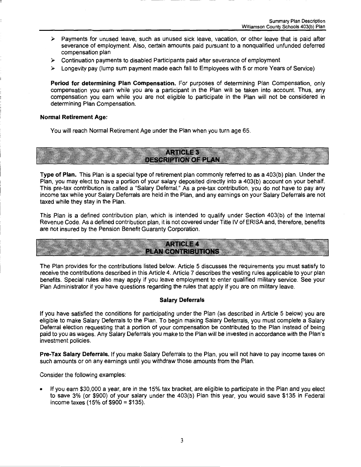- *»-* Payments for unused leave, such as unused sick leave, vacation, or other leave that is paid after severance of employment. Also, certain amounts paid pursuant to a nonqualified unfunded deferred compensation plan
- *»-* Continuation payments to disabled Participants paid after severance of employment
- *»-* Longevity pay (lump sum payment made each fall to Employees with 5 or more Years of Service)

**Period for determining Plan Compensation.** For purposes of determining Plan Compensation, only compensation you earn while you are a participant in the Plan will be taken into account. Thus, any compensation you earn while you are not eligible to participate in the Plan will not be considered in determining Plan Compensation.

#### **Normal Retirement Age:**

You will reach Normal Retirement Age under the Plan when you turn age 65.



**Type of Plan.** This Plan is a special type of retirement plan commonly referred to as a 403(b) plan. Under the Plan, you may elect to have a portion of your salary deposited directly into a 403(b) account on your behalf. This pre-tax contribution is called a "Salary Deferral." As a pre-tax contribution, you do not have to pay any income tax while your Salary Deferrals are held in the Plan, and any earnings on your Salary Deferrals are not taxed while they stay in the Plan.

This Plan is a defined contribution plan, which is intended to qualify under Section 403(b) of the Internal Revenue Code. As a defined contribution plan, it is not covered under Title IV of ERISA and, therefore, benefits are not insured by the Pension Benefit Guaranty Corporation.

**ARTICLE 4 PLAN CONTRIBUTIONS** 

The Plan provides for the contributions listed below. Article 5 discusses the requirements you must satisfy to receive the contributions described in this Article 4. Article 7 describes the vesting rules applicable to your plan benefits. Special rules also may apply if you leave employment to enter qualified military service. See your Plan Administrator if you have questions regarding the rules that apply if you are on military leave.

#### **Salary Deferrals**

If you have satisfied the conditions for participating under the Plan (as described in Article 5 below) you are eligible to make Salary Deferrals to the Plan. To begin making Salary Deferrals, you must complete a Salary Deferral election requesting that a portion of your compensation be contributed to the Plan instead of being paid to you as wages. Any Salary Deferrals you make to the Plan will be invested in accordance with the Plan's investment policies.

**Pre-Tax Salary Deferrals.** If you make Salary Deferrals to the Plan, you will not have to pay income taxes on such amounts or on any earnings until you withdraw those amounts from the Plan.

Consider the following examples:

• If you earn \$30,000 a year, are in the 15% tax bracket, are eligible to participate in the Plan and you elect to save 3% (or \$900) of your salary under the 403(b) Plan this year, you would save \$135 in Federal income taxes (15% of \$900 = \$135).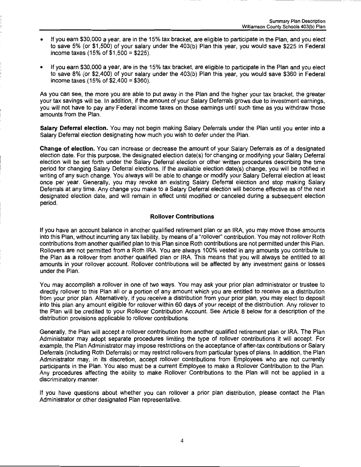- If you earn \$30,000 a year, are in the 15% tax bracket, are eligible to participate in the Plan, and you elect to save 5% (or \$1 ,500) of your salary under the 403(b) Plan this year, you would save \$225 in Federal income taxes (15% of \$1,500 = \$225).
- If you earn \$30,000 a year, are in the 15% tax bracket, are eligible to participate in the Plan and you elect to save 8% (or \$2,400) of your salary under the 403(b) Plan this year, you would save \$360 in Federal income taxes (15% of \$2,400 = \$360).

As you can see, the more you are able to put away in the Plan and the higher your tax bracket, the greater your tax savings will be. In addition, if the amount of your Salary Deferrals grows due to investment earnings, you will not have to pay any Federal income taxes on those earnings until such time as you withdraw those amounts from the Plan.

**Salary Deferral election.** You may not begin making Salary Deferrals under the Plan until you enter into a Salary Deferral election designating how much you wish to defer under the Plan.

**Change of election.** You can increase or decrease the amount of your Salary Deferrals as of a designated election date. For this purpose, the designated election date(s) for changing or modifying your Salary Deferral election will be set forth under the Salary Deferral election or other written procedures describing the time period for changing Salary Deferral elections. If the available election date(s) change, you will be notified in writing of any such change. You always will be able to change or modify your Salary Deferral election at least once per year. Generally, you may revoke an existing Salary Deferral election and stop making Salary Deferrals at any time. Any change you make to a Salary Deferral election will become effective as of the next designated election date, and will remain in effect until modified or canceled during a subsequent election period.

#### **Rollover Contributions**

If you have an account balance in another qualified retirement plan or an IRA, you may move those amounts into this Plan, without incurring any tax liability, by means of a "rollover" contribution. You may not rollover Roth contributions from another qualified plan to this Plan since Roth contributions are not permitted under this Plan. Rollovers are not permitted from a Roth IRA. You are always 100% vested in any amounts you contribute to the Plan as a rollover from another qualified plan or IRA. This means that you will always be entitled to all amounts in your rollover account. Rollover contributions will be affected by any investment gains or losses under the Plan.

You may accomplish a rollover in one of two ways. You may ask your prior plan administrator or trustee to directly rollover to this Plan all or a portion of any amount which you are entitled to receive as a distribution from your prior plan. Alternatively, if you receive a distribution from your prior plan, you may elect to deposit into this plan any amount eligible for rollover within 60 days of your receipt of the distribution. Any rollover to the Plan will be credited to your Rollover Contribution Account. See Article 8 below for a description of the distribution provisions applicable to rollover contributions.

Generally, the Plan will accept a rollover contribution from another qualified retirement plan or IRA. The Plan Administrator may adopt separate procedures limiting the type of rollover contributions it will accept. For example, the Plan Administrator may impose restrictions on the acceptance of after-tax contributions or Salary Deferrals (including Roth Deferrals) or may restrict rollovers from particular types of plans. In addition, the Plan Administrator may, in its discretion, accept rollover contributions from Employees who are not currently participants in the Plan. You also must be a current Employee to make a Rollover Contribution to the Plan. Any procedures affecting the ability to make Rollover Contributions to the Plan will not be applied in a discriminatory manner.

If you have questions about whether you can rollover a prior plan distribution, please contact the Plan Administrator or other designated Plan representative.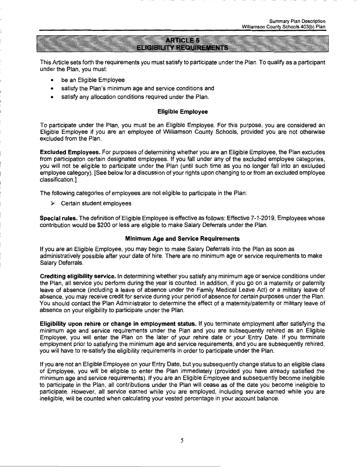## **ARTICLE 5 ELIGIBILITY REQUIREMENTS**

This Article sets forth the requirements you must satisfy to participate under the Plan. To qualify as a participant under the Plan, you must:

- be an Eligible Employee
- satisfy the Plan's minimum age and service conditions and
- satisfy any allocation conditions required under the Plan.

#### **Eligible Employee**

To participate under the Plan, you must be an Eligible Employee. For this purpose, you are considered an Eligible Employee if you are an employee of Williamson County Schools, provided you are not otherwise excluded from the Plan.

**Excluded Employees.** For purposes of determining whether you are an Eligible Employee, the Plan excludes from participation certain designated employees. If you fall under any of the excluded employee categories, you will not be eligible to participate under the Plan (until such time as you no longer fall into an excluded employee category). [See below for a discussion of your rights upon changing to or from an excluded employee classification.]

The following categories of employees are not eligible to participate in the Plan:

 $\triangleright$  Certain student employees

**Special rules.** The definition of Eligible Employee is effective as follows: Effective 7-1-2019, Employees whose contribution would be \$200 or less are eligible to make Salary Deferrals under the Plan.

#### **Minimum Age and Service Requirements**

If you are an Eligible Employee, you may begin to make Salary Deferrals into the Plan as soon as administratively possible after your date of hire. There are no minimum age or service requirements to make Salary Deferrals.

**Crediting eligibility service.** In determining whether you satisfy any minimum age or service conditions under the Plan, all service you perform during the year is counted. In addition, if you go on a maternity or paternity leave of absence (including a leave of absence under the Family Medical Leave Act) or a military leave of absence, you may receive credit for service during your period of absence for certain purposes under the Plan. You should contact the Plan Administrator to determine the effect of a maternity/paternity or military leave of absence on your eligibility to participate under the Plan.

**Eligibility upon rehire or change in employment status.** If you terminate employment after satisfying the minimum age and service requirements under the Plan and you are subsequently rehired as an Eligible Employee, you will enter the Plan on the later of your rehire date or your Entry Date. If you terminate employment prior to satisfying the minimum age and service requirements, and you are subsequently rehired, you will have to re-satisfy the eligibility requirements in order to participate under the Plan.

If you are not an Eligible Employee on your Entry Date, but you subsequently change status to an eligible class of Employee, you will be eligible to enter the Plan immediately (provided you have already satisfied the minimum age and service requirements). If you are an Eligible Employee and subsequently become ineligible to participate in the Plan, all contributions under the Plan will cease as of the date you become ineligible to participate. However, all service earned while you are employed, including service earned while you are ineligible, will be counted when calculating your vested percentage in your account balance.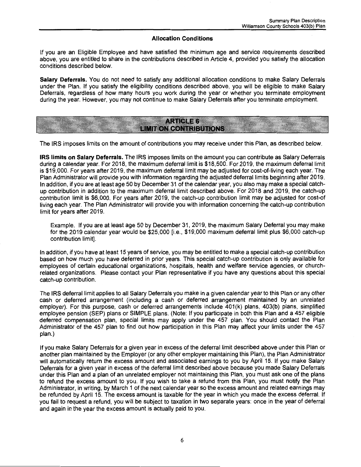#### **Allocation Conditions**

If you are an Eligible Employee and have satisfied the minimum age and service requirements described above, you are entitled to share in the contributions described in Article 4, provided you satisfy the allocation conditions described below.

**Salary Deferrals.** You do not need to satisfy any additional allocation conditions to make Salary Deferrals under the Plan. If you satisfy the eligibility conditions described above, you will be eligible to make Salary Deferrals, regardless of how many hours you work during the year or whether you terminate employment during the year. However, you may not continue to make Salary Deferrals after you terminate employment.

# **ARTICLE 6 LIMIT ON CONTRIBUTIONS**

The IRS imposes limits on the amount of contributions you may receive under this Plan, as described below.

**IRS limits on Salary Deferrals.** The IRS imposes limits on the amount you can contribute as Salary Deferrals during a calendar year. For 2018, the maximum deferral limit is \$18,500. For 2019, the maximum deferral limit is \$19,000. For years after 2019, the maximum deferral limit may be adjusted for cost-of-living each year. The Plan Administrator will provide you with information regarding the adjusted deferral limits beginning after 2019. In addition, if you are at least age 50 by December 31 of the calendar year, you also may make a special catchup contribution in addition to the maximum deferral limit described above. For 2018 and 2019, the catch-up contribution limit is \$6,000. For years after 2019, the catch-up contribution limit may be adjusted for cost-of living each year. The Plan Administrator will provide you with information concerning the catch-up contribution limit for years after 2019.

Example. If you are at least age 50 by December 31, 2019, the maximum Salary Deferral you may make for the 2019 calendar year would be \$25,000 [i.e., \$19,000 maximum deferral limit plus \$6,000 catch-up contribution limit].

In addition, if you have at least 15 years of service, you may be entitled to make a special catch-up contribution based on how much you have deferred in prior years. This special catch-up contribution is only available for employees of certain educational organizations, hospitals, health and welfare service agencies, or churchrelated organizations. Please contact your Plan representative if you have any questions about this special catch-up contribution.

The IRS deferral limit applies to all Salary Deferrals you make in a given calendar year to this Plan or any other cash or deferred arrangement (including a cash or deferred arrangement maintained by an unrelated employer). For this purpose, cash or deferred arrangements include 401(k) plans, 403(b) plans, simplified employee pension (SEP) plans or SIMPLE plans. (Note: If you participate in both this Plan and a 457 eligible deferred compensation plan, special limits may apply under the 457 plan. You should contact the Plan Administrator of the 457 plan to find out how participation in this Plan may affect your limits under the 457 plan.)

If you make Salary Deferrals for a given year in excess of the deferral limit described above under this Plan or another plan maintained by the Employer (or any other employer maintaining this Plan), the Plan Administrator will automatically return the excess amount and associated earnings to you by April 15. If you make Salary Deferrals for a given year in excess of the deferral limit described above because you made Salary Deferrals under this Plan and a plan of an unrelated employer not maintaining this Plan, you must ask one of the plans to refund the excess amount to you. If you wish to take a refund from this Plan, you must notify the Plan Administrator, in writing, by March 1 of the next calendar year so the excess amount and related earnings may be refunded by April 15. The excess amount is taxable for the year in which you made the excess deferral. If you fail to request a refund, you will be subject to taxation in two separate years: once in the year of deferral and again in the year the excess amount is actually paid to you.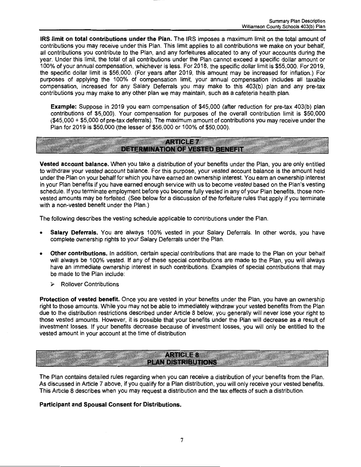**IRS limit on total contributions under the Plan.** The IRS imposes a maximum limit on the total amount of contributions you may receive under this Plan. This limit applies to all contributions we make on your behalf, all contributions you contribute to the Plan, and any forfeitures allocated to any of your accounts during the year. Under this limit, the total of all contributions under the Plan cannot exceed a specific dollar amount or 100% of your annual compensation, whichever is less. For 2018, the specific dollar limit is \$55,000. For 2019, the specific dollar limit is \$56,000. (For years after 2019, this amount may be increased for inflation.) For purposes of applying the 100% of compensation limit, your annual compensation includes all taxable compensation, increased for any Salary Deferrals you may make to this 403(b) plan and any pre-tax contributions you may make to any other plan we may maintain, such as a cafeteria health plan.

**Example:** Suppose in 2019 you earn compensation of \$45,000 (after reduction for pre-tax 403(b) plan contributions of \$5,000). Your compensation for purposes of the overall contribution limit is \$50,000 (\$45,000 + \$5,000 of pre-tax deferrals). The maximum amount of contributions you may receive under the Plan for 2019 is \$50,000 (the lesser of \$56,000 or 100% of \$50,000).

#### **ARTICLE 7 DETERMINATION OF VESTED BENEFIT**

**Vested account balance.** When you take a distribution of your benefits under the Plan, you are only entitled to withdraw your vested account balance. For this purpose, your vested account balance is the amount held under the Plan on your behalf for which you have earned an ownership interest. You earn an ownership interest in your Plan benefits if you have earned enough service with us to become vested based on the Plan's vesting schedule. If you terminate employment before you become fully vested in any of your Plan benefits, those nonvested amounts may be forfeited. (See below for a discussion of the forfeiture rules that apply if you terminate with a non-vested benefit under the Plan.)

The following describes the vesting schedule applicable to contributions under the Plan.

- **Salary Deferrals.** You are always 100% vested in your Salary Deferrals. In other words, you have complete ownership rights to your Salary Deferrals under the Plan.
- **Other contributions.** In addition, certain special contributions that are made to the Plan on your behalf will always be 100% vested. If any of these special contributions are made to the Plan, you will always have an immediate ownership interest in such contributions. Examples of special contributions that may be made to the Plan include:
	- > Rollover Contributions

**Protection of vested benefit.** Once you are vested in your benefits under the Plan, you have an ownership right to those amounts. While you may not be able to immediately withdraw your vested benefits from the Plan due to the distribution restrictions described under Article 8 below, you generally will never lose your right to those vested amounts. However, it is possible that your benefits under the Plan will decrease as a result of investment losses. If your benefits decrease because of investment losses, you will only be entitled to the vested amount in your account at the time of distribution

## **ARTICLE 8 PLAN DISTRIBUTIONS**

The Plan contains detailed rules regarding when you can receive a distribution of your benefits from the Plan. As discussed in Article 7 above, if you qualify for a Plan distribution, you will only receive your vested benefits. This Article 8 describes when you may request a distribution and the tax effects of such a distribution.

#### **Participant and Spousal Consent for Distributions.**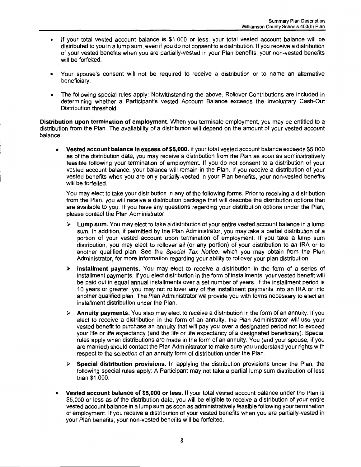- If your total vested account balance is \$1,000 or less, your total vested account balance will be distributed to you in a lump sum, even if you do not consent to a distribution. If you receive a distribution of your vested benefits when you are partially-vested in your Plan benefits, your non-vested benefits will be forfeited.
- Your spouse's consent will not be required to receive a distribution or to name an alternative beneficiary.
- The following special rules apply: Notwithstanding the above, Rollover Contributions are included in determining whether a Participant's vested Account Balance exceeds the Involuntary Cash-Out Distribution threshold.

**Distribution upon termination of employment.** When you terminate employment, you may be entitled to a distribution from the Plan. The availability of a distribution will depend on the amount of your vested account balance.

• **Vested account balance in excess of \$5,000.** If your total vested account balance exceeds \$5,000 as of the distribution date, you may receive a distribution from the Plan as soon as administratively feasible following your termination of employment. If you do not consent to a distribution of your vested account balance, your balance will remain in the Plan. If you receive a distribution of your vested benefits when you are only partially-vested in your Plan benefits, your non-vested benefits will be forfeited.

You may elect to take your distribution in any of the following forms. Prior to receiving a distribution from the Plan, you will receive a distribution package that will describe the distribution options that are available to you. If you have any questions regarding your distribution options under the Plan, please contact the Plan Administrator.

- **Lump sum.** You may elect to take a distribution of your entire vested account balance in a lump sum. In addition, if permitted by the Plan Administrator, you may take a partial distribution of a portion of your vested account upon termination of employment. If you take a lump sum distribution, you may elect to rollover all (or any portion) of your distribution to an IRA or to another qualified plan. See the Special Tax Notice, which you may obtain from the Plan Administrator, for more information regarding your ability to rollover your plan distribution.
- > **Installment payments.** You may elect to receive a distribution in the form of a series of installment payments. If you elect distribution in the form of installments, your vested benefit will be paid out in equal annual installments over a set number of years. If the installment period is 10 years or greater, you may not rollover any of the installment payments into an IRA or into another qualified plan. The Plan Administrator will provide you with forms necessary to elect an installment distribution under the Plan.
- > **Annuity payments.** You also may elect to receive a distribution in the form of an annuity. If you elect to receive a distribution in the form of an annuity, the Plan Administrator will use your vested benefit to purchase an annuity that will pay you over a designated period not to exceed your life or life expectancy (and the life or life expectancy of a designated beneficiary). Special rules apply when distributions are made in the form of an annuity. You (and your spouse, if you are married) should contact the Plan Administrator to make sure you understand your rights with respect to the selection of an annuity form of distribution under the Plan.
- > **Special distribution provisions.** In applying the distribution provisions under the Plan, the following special rules apply: A Participant may not take a partial lump sum distribution of less than \$1,000.
- **Vested account balance of \$5,000 or less.** If your total vested account balance under the Plan is \$5,000 or less as of the distribution date, you will be eligible to receive a distribution of your entire vested account balance in a lump sum as soon as administratively feasible following your termination of employment. If you receive a distribution of your vested benefits when you are partially-vested in your Plan benefits, your non-vested benefits will be forfeited.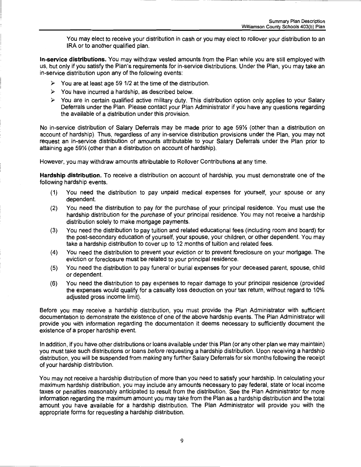You may elect to receive your distribution in cash or you may elect to rollover your distribution to an IRA or to another qualified plan.

**In-service distributions.** You may withdraw vested amounts from the Plan while you are still employed with us, but only if you satisfy the Plan's requirements for in-service distributions. Under the Plan, you may take an in-service distribution upon any of the following events:

- *);>* You are at least age 59 1/2 at the time of the distribution.
- *);>* You have incurred a hardship, as described below.
- *);>* You are in certain qualified active military duty. This distribution option only applies to your Salary Deferrals under the Plan. Please contact your Plan Administrator if you have any questions regarding the available of a distribution under this provision.

No in-service distribution of Salary Deferrals may be made prior to age 59% (other than a distribution on account of hardship). Thus, regardless of any in-service distribution provisions under the Plan, you may not request an in-service distribution of amounts attributable to your Salary Deferrals under the Plan prior to attaining age 59% (other than a distribution on account of hardship).

However, you may withdraw amounts attributable to Rollover Contributions at any time.

**Hardship distribution.** To receive a distribution on account of hardship, you must demonstrate one of the following hardship events.

- (1) You need the distribution to pay unpaid medical expenses for yourself, your spouse or any dependent.
- (2) You need the distribution to pay for the purchase of your principal residence. You must use the hardship distribution for the purchase of your principal residence. You may not receive a hardship distribution solely to make mortgage payments.
- (3) You need the distribution to pay tuition and related educational fees (including room and board) for the post-secondary education of yourself, your spouse, your children, or other dependent. You may take a hardship distribution to cover up to 12 months of tuition and related fees.
- (4) You need the distribution to prevent your eviction or to prevent foreclosure on your mortgage. The eviction or foreclosure must be related to your principal residence.
- (5) You need the distribution to pay funeral or burial expenses for your deceased parent, spouse, child or dependent.
- (6) You need the distribution to pay expenses to repair damage to your principal residence (provided the expenses would qualify for a casualty loss deduction on your tax return, without regard to 10% adjusted gross income limit).

Before you may receive a hardship distribution, you must provide the Plan Administrator with sufficient documentation to demonstrate the existence of one of the above hardship events. The Plan Administrator will provide you with information regarding the documentation it deems necessary to sufficiently document the existence of a proper hardship event.

In addition, if you have other distributions or loans available under this Plan (or any other plan we may maintain) you must take such distributions or loans before requesting a hardship distribution. Upon receiving a hardship distribution, you will be suspended from making any further Salary Deferrals for six months following the receipt of your hardship distribution.

You may not receive a hardship distribution of more than you need to satisfy your hardship. In calculating your maximum hardship distribution, you may include any amounts necessary to pay federal, state or local income taxes or penalties reasonably anticipated to result from the distribution. See the Plan Administrator for more information regarding the maximum amount you may take from the Plan as a hardship distribution and the total amount you have available for a hardship distribution. The Plan Administrator will provide you with the appropriate forms for requesting a hardship distribution.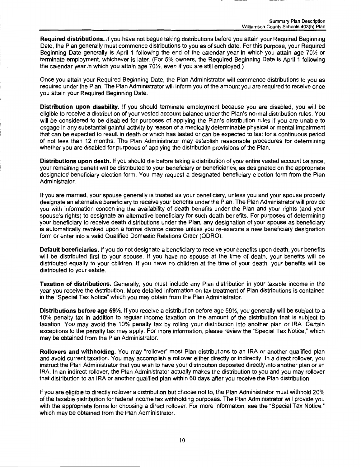**Required distributions.** If you have not begun taking distributions before you attain your Required Beginning Date, the Plan generally must commence distributions to you as of such date. For this purpose, your Required Beginning Date generally is April 1 following the end of the calendar year in which you attain age 70% or terminate employment, whichever is later. (For 5% owners, the Required Beginning Date is April 1 following the calendar year in which you attain age  $70\frac{1}{2}$ , even if you are still employed.)

Once you attain your Required Beginning Date, the Plan Administrator will commence distributions to you as required under the Plan. The Plan Administrator will inform you of the amount you are required to receive once you attain your Required Beginning Date.

**Distribution upon disability.** If you should terminate employment because you are disabled, you will be eligible to receive a distribution of your vested account balance under the Plan's normal distribution rules. You will be considered to be disabled for purposes of applying the Plan's distribution rules if you are unable to engage in any substantial gainful activity by reason of a medically determinable physical or mental impairment that can be expected to result in death or which has lasted or can be expected to last for a continuous period of not less than 12 months. The Plan Administrator may establish reasonable procedures for determining whether you are disabled for purposes of applying the distribution provisions of the Plan.

**Distributions upon death.** If you should die before taking a distribution of your entire vested account balance, your remaining benefit will be distributed to your beneficiary or beneficiaries, as designated on the appropriate designated beneficiary election form. You may request a designated beneficiary election form from the Plan Administrator.

If you are married, your spouse generally is treated as your beneficiary, unless you and your spouse properly designate an alternative beneficiary to receive your benefits under the Plan. The Plan Administrator will provide you with information concerning the availability of death benefits under the Plan and your rights (and your spouse's rights) to designate an alternative beneficiary for such death benefits. For purposes of determining your beneficiary to receive death distributions under the Plan, any designation of your spouse as beneficiary is automatically revoked upon a formal divorce decree unless you re-execute a new beneficiary designation form or enter into a valid Qualified Domestic Relations Order (QDRO).

**Default beneficiaries.** If you do not designate a beneficiary to receive your benefits upon death, your benefits will be distributed first to your spouse. If you have no spouse at the time of death, your benefits will be distributed equally to your children. If you have no children at the time of your death, your benefits will be distributed to your estate.

**Taxation of distributions.** Generally, you must include any Plan distribution in your taxable income in the year you receive the distribution. More detailed information on tax treatment of Plan distributions is contained in the "Special Tax Notice" which you may obtain from the Plan Administrator.

**Distributions before age 59%.** If you receive a distribution before age 59%, you generally will be subject to a 10% penalty tax in addition to regular income taxation on the amount of the distribution that is subject to taxation. You may avoid the 10% penalty tax by rolling your distribution into another plan or IRA. Certain exceptions to the penalty tax may apply. For more information, please review the "Special Tax Notice," which may be obtained from the Plan Administrator.

**Rollovers and withholding.** You may "rollover" most Plan distributions to an IRA or another qualified plan and avoid current taxation. You may accomplish a rollover either directly or indirectly. In a direct rollover, you instruct the Plan Administrator that you wish to have your distribution deposited directly into another plan or an IRA. In an indirect rollover, the Plan Administrator actually makes the distribution to you and you may rollover that distribution to an IRA or another qualified plan within 60 days after you receive the Plan distribution.

If you are eligible to directly rollover a distribution but choose not to, the Plan Administrator must withhold 20% of the taxable distribution for federal income tax withholding purposes. The Plan Administrator will provide you with the appropriate forms for choosing a direct rollover. For more information, see the "Special Tax Notice," which may be obtained from the Plan Administrator.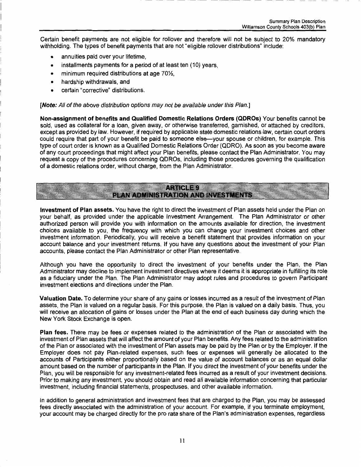Certain benefit payments are not eligible for rollover and therefore will not be subject to 20% mandatory withholding. The types of benefit payments that are not "eligible rollover distributions" include:

- annuities paid over your lifetime.
- installments payments for a period of at least ten (10) years,
- minimum required distributions at age 70%,
- hardship withdrawals, and
- certain "corrective" distributions.

**[Note:** All of the above distribution options may not be available under this Plan.]

**Non-assignment of benefits and Qualified Domestic Relations Orders (QDROs)** Your benefits cannot be sold, used as collateral for a loan, given away, or otherwise transferred, garnished, or attached by creditors, except as provided by law. However, if required by applicable state domestic relations law, certain court orders could require that part of your benefit be paid to someone else-your spouse or children, for example. This type of court order is known as a Qualified Domestic Relations Order (QDRO). As soon as you become aware of any court proceedings that might affect your Plan benefits, please contact the Plan Administrator. You may request a copy of the procedures concerning QDROs, including those procedures governing the qualification of a domestic relations order, without charge, from the Plan Administrator.

#### **ARTICLE 9** PLAN ADMINISTRATION AND INVESTMENTS

**Investment of Plan assets.** You have the right to direct the investment of Plan assets held under the Plan on your behalf, as provided under the applicable Investment Arrangement. The Plan Administrator or other authorized person will provide you with information on the amounts available for direction, the investment choices available to you, the frequency with which you can change your investment choices and other investment information. Periodically, you will receive a benefit statement that provides information on your account balance and your investment returns. If you have any questions about the investment of your Plan accounts, please contact the Plan Administrator or other Plan representative.

Although you have the opportunity to direct the investment of your benefits under the Plan, the Plan Administrator may decline to implement investment directives where it deems it is appropriate in fulfilling its role as a fiduciary under the Plan. The Plan Administrator may adopt rules and procedures to govern Participant investment elections and directions under the Plan.

**Valuation Date.** To determine your share of any gains or losses incurred as a result of the investment of Plan assets, the Plan is valued on a regular basis. For this purpose, the Plan is valued on a daily basis. Thus, you will receive an allocation of gains or losses under the Plan at the end of each business day during which the New York Stock Exchange is open.

**Plan fees.** There may be fees or expenses related to the administration of the Plan or associated with the investment of Plan assets that will affect the amount of your Plan benefits. Any fees related to the administration of the Plan or associated with the investment of Plan assets may be paid by the Plan or by the Employer. If the Employer does not pay Plan-related expenses, such fees or expenses will generally be allocated to the accounts of Participants either proportionally based on the value of account balances or as an equal dollar amount based on the number of participants in the Plan. If you direct the investment of your benefits under the Plan, you will be responsible for any investment-related fees incurred as a result of your investment decisions. Prior to making any investment, you should obtain and read all available information concerning that particular investment, including financial statements, prospectuses, and other available information.

In addition to general administration and investment fees that are charged to the Plan, you may be assessed fees directly associated with the administration of your account. For example, if you terminate employment, your account may be charged directly for the pro rata share of the Plan's administration expenses, regardless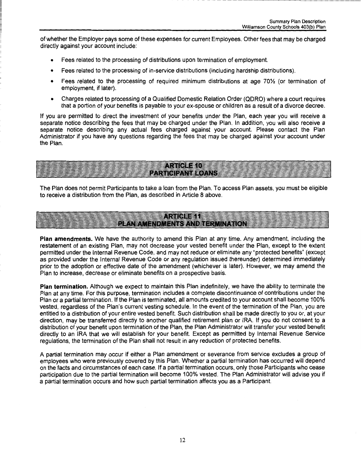of whether the Employer pays some of these expenses for current Employees. Other fees that may be charged directly against your account include:

- Fees related to the processing of distributions upon termination of employment.
- Fees related to the processing of in-service distributions {including hardship distributions).
- Fees related to the processing of required minimum distributions at age 70% (or termination of employment, if later).
- Charges related to processing of a Qualified Domestic Relation Order {QDRO) where a court requires that a portion of your benefits is payable to your ex-spouse or children as a result of a divorce decree.

If you are permitted to direct the investment of your benefits under the Plan, each year you will receive a separate notice describing the fees that may be charged under the Plan. In addition, you will also receive a separate notice describing any actual fees charged against your account. Please contact the Plan Administrator if you have any questions regarding the fees that may be charged against your account under the Plan.

**ARTICLE 10 PARTICIPANT LOANS** 

The Plan does not permit Participants to take a loan from the Plan. To access Plan assets, you must be eligible to receive a distribution from the Plan, as described in Article 8 above.

**ARTICLE 11** PLAN AMENDMENTS AND TERMINATION

**Plan amendments.** We have the authority to amend this Plan at any time. Any amendment, including the restatement of an existing Plan, may not decrease your vested benefit under the Plan, except to the extent permitted under the Internal Revenue Code, and may not reduce or eliminate any "protected benefits" {except as provided under the Internal Revenue Code or any regulation issued thereunder) determined immediately prior to the adoption or effective date of the amendment {whichever is later). However, we may amend the Plan to increase, decrease or eliminate benefits on a prospective basis.

**Plan termination.** Although we expect to maintain this Plan indefinitely, we have the ability to terminate the Plan at any time. For this purpose, termination includes a complete discontinuance of contributions under the Plan or a partial termination. If the Plan is terminated, all amounts credited to your account shall become 100% vested, regardless of the Plan's current vesting schedule. In the event of the termination of the Plan, you are entitled to a distribution of your entire vested benefit. Such distribution shall be made directly to you or, at your direction, may be transferred directly to another qualified retirement plan or IRA. If you do not consent to a distribution of your benefit upon termination of the Plan, the Plan Administrator will transfer your vested benefit directly to an IRA that we will establish for your benefit. Except as permitted by Internal Revenue Service regulations, the termination of the Plan shall not result in any reduction of protected benefits.

A partial termination may occur if either a Plan amendment or severance from service excludes a group of employees who were previously covered by this Plan. Whether a partial termination has occurred will depend on the facts and circumstances of each case. If a partial termination occurs, only those Participants who cease participation due to the partial termination will become 100% vested. The Plan Administrator will advise you if a partial termination occurs and how such partial termination affects you as a Participant.